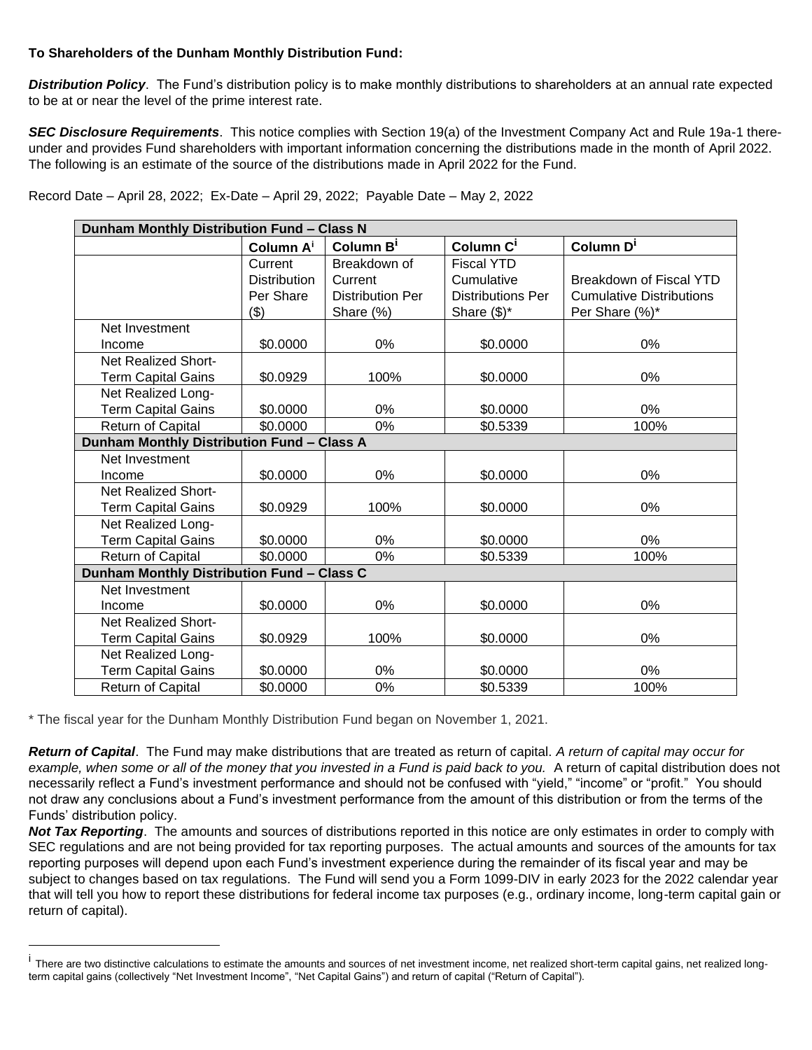## **To Shareholders of the Dunham Monthly Distribution Fund:**

*Distribution Policy*. The Fund's distribution policy is to make monthly distributions to shareholders at an annual rate expected to be at or near the level of the prime interest rate.

*SEC Disclosure Requirements*. This notice complies with Section 19(a) of the Investment Company Act and Rule 19a-1 thereunder and provides Fund shareholders with important information concerning the distributions made in the month of April 2022. The following is an estimate of the source of the distributions made in April 2022 for the Fund.

| Record Date - April 28, 2022; Ex-Date - April 29, 2022; Payable Date - May 2, 2022 |  |  |
|------------------------------------------------------------------------------------|--|--|
|------------------------------------------------------------------------------------|--|--|

| Dunham Monthly Distribution Fund - Class N |                       |                         |                          |                                 |  |  |  |
|--------------------------------------------|-----------------------|-------------------------|--------------------------|---------------------------------|--|--|--|
|                                            | Column A <sup>i</sup> | Column B <sup>i</sup>   | Column C <sup>i</sup>    | Column D <sup>i</sup>           |  |  |  |
|                                            | Current               | Breakdown of            | <b>Fiscal YTD</b>        |                                 |  |  |  |
|                                            | <b>Distribution</b>   | Current                 | Cumulative               | <b>Breakdown of Fiscal YTD</b>  |  |  |  |
|                                            | Per Share             | <b>Distribution Per</b> | <b>Distributions Per</b> | <b>Cumulative Distributions</b> |  |  |  |
|                                            | \$)                   | Share (%)               | Share $(\$)^*$           | Per Share (%)*                  |  |  |  |
| Net Investment                             |                       |                         |                          |                                 |  |  |  |
| Income                                     | \$0.0000              | 0%                      | \$0.0000                 | $0\%$                           |  |  |  |
| <b>Net Realized Short-</b>                 |                       |                         |                          |                                 |  |  |  |
| <b>Term Capital Gains</b>                  | \$0.0929              | 100%                    | \$0.0000                 | 0%                              |  |  |  |
| Net Realized Long-                         |                       |                         |                          |                                 |  |  |  |
| <b>Term Capital Gains</b>                  | \$0.0000              | 0%                      | \$0.0000                 | 0%                              |  |  |  |
| Return of Capital                          | \$0.0000              | 0%                      | \$0.5339                 | 100%                            |  |  |  |
| Dunham Monthly Distribution Fund - Class A |                       |                         |                          |                                 |  |  |  |
| Net Investment                             |                       |                         |                          |                                 |  |  |  |
| Income                                     | \$0.0000              | $0\%$                   | \$0.0000                 | $0\%$                           |  |  |  |
| Net Realized Short-                        |                       |                         |                          |                                 |  |  |  |
| <b>Term Capital Gains</b>                  | \$0.0929              | 100%                    | \$0.0000                 | 0%                              |  |  |  |
| Net Realized Long-                         |                       |                         |                          |                                 |  |  |  |
| <b>Term Capital Gains</b>                  | \$0.0000              | 0%                      | \$0.0000                 | 0%                              |  |  |  |
| <b>Return of Capital</b>                   | \$0.0000              | 0%                      | \$0.5339                 | 100%                            |  |  |  |
| Dunham Monthly Distribution Fund - Class C |                       |                         |                          |                                 |  |  |  |
| Net Investment                             |                       |                         |                          |                                 |  |  |  |
| Income                                     | \$0.0000              | 0%                      | \$0.0000                 | 0%                              |  |  |  |
| <b>Net Realized Short-</b>                 |                       |                         |                          |                                 |  |  |  |
| <b>Term Capital Gains</b>                  | \$0.0929              | 100%                    | \$0.0000                 | 0%                              |  |  |  |
| Net Realized Long-                         |                       |                         |                          |                                 |  |  |  |
| <b>Term Capital Gains</b>                  | \$0.0000              | 0%                      | \$0.0000                 | 0%                              |  |  |  |
| Return of Capital                          | \$0.0000              | 0%                      | \$0.5339                 | 100%                            |  |  |  |

\* The fiscal year for the Dunham Monthly Distribution Fund began on November 1, 2021.

*Return of Capital*. The Fund may make distributions that are treated as return of capital. *A return of capital may occur for example, when some or all of the money that you invested in a Fund is paid back to you.* A return of capital distribution does not necessarily reflect a Fund's investment performance and should not be confused with "yield," "income" or "profit." You should not draw any conclusions about a Fund's investment performance from the amount of this distribution or from the terms of the Funds' distribution policy.

*Not Tax Reporting*. The amounts and sources of distributions reported in this notice are only estimates in order to comply with SEC regulations and are not being provided for tax reporting purposes. The actual amounts and sources of the amounts for tax reporting purposes will depend upon each Fund's investment experience during the remainder of its fiscal year and may be subject to changes based on tax regulations. The Fund will send you a Form 1099-DIV in early 2023 for the 2022 calendar year that will tell you how to report these distributions for federal income tax purposes (e.g., ordinary income, long-term capital gain or return of capital).

<sup>&</sup>lt;sup>i</sup> There are two distinctive calculations to estimate the amounts and sources of net investment income, net realized short-term capital gains, net realized longterm capital gains (collectively "Net Investment Income", "Net Capital Gains") and return of capital ("Return of Capital").